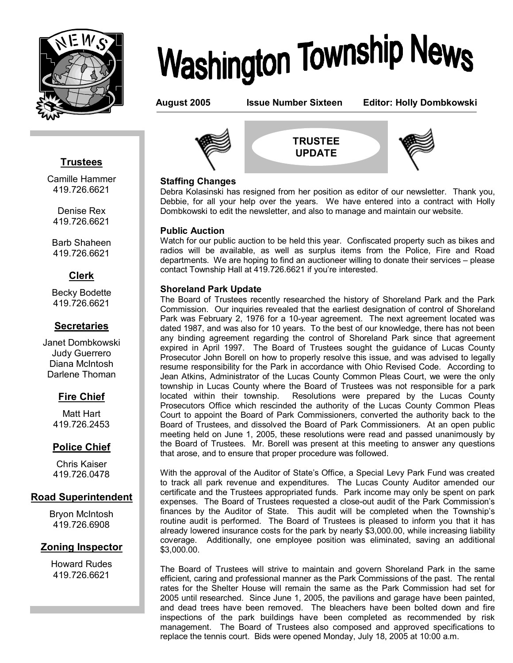

# **Washington Township News**

**August 2005 Issue Number Sixteen Editor: Holly Dombkowski**

# **Trustees**

l

Camille Hammer 419.726.6621

Denise Rex 419.726.6621

Barb Shaheen 419.726.6621

# **Clerk**

Becky Bodette 419.726.6621

# **Secretaries**

Janet Dombkowski Judy Guerrero Diana McIntosh Darlene Thoman

# **Fire Chief**

Matt Hart 419.726.2453

# **Police Chief**

Chris Kaiser 419.726.0478

# **Road Superintendent**

Bryon McIntosh 419.726.6908

# **Zoning Inspector**

Howard Rudes 419.726.6621



**TRUSTEE UPDATE**



# **Staffing Changes**

Debra Kolasinski has resigned from her position as editor of our newsletter. Thank you, Debbie, for all your help over the years. We have entered into a contract with Holly Dombkowski to edit the newsletter, and also to manage and maintain our website.

# **Public Auction**

Watch for our public auction to be held this year. Confiscated property such as bikes and radios will be available, as well as surplus items from the Police, Fire and Road departments. We are hoping to find an auctioneer willing to donate their services  $-$  please contact Township Hall at 419.726.6621 if youíre interested.

# **Shoreland Park Update**

The Board of Trustees recently researched the history of Shoreland Park and the Park Commission. Our inquiries revealed that the earliest designation of control of Shoreland Park was February 2, 1976 for a 10-year agreement. The next agreement located was dated 1987, and was also for 10 years. To the best of our knowledge, there has not been any binding agreement regarding the control of Shoreland Park since that agreement expired in April 1997. The Board of Trustees sought the guidance of Lucas County Prosecutor John Borell on how to properly resolve this issue, and was advised to legally resume responsibility for the Park in accordance with Ohio Revised Code. According to Jean Atkins, Administrator of the Lucas County Common Pleas Court, we were the only township in Lucas County where the Board of Trustees was not responsible for a park located within their township. Resolutions were prepared by the Lucas County Prosecutors Office which rescinded the authority of the Lucas County Common Pleas Court to appoint the Board of Park Commissioners, converted the authority back to the Board of Trustees, and dissolved the Board of Park Commissioners. At an open public meeting held on June 1, 2005, these resolutions were read and passed unanimously by the Board of Trustees. Mr. Borell was present at this meeting to answer any questions that arose, and to ensure that proper procedure was followed.

With the approval of the Auditor of Stateís Office, a Special Levy Park Fund was created to track all park revenue and expenditures. The Lucas County Auditor amended our certificate and the Trustees appropriated funds. Park income may only be spent on park expenses. The Board of Trustees requested a close-out audit of the Park Commissionís finances by the Auditor of State. This audit will be completed when the Township's routine audit is performed. The Board of Trustees is pleased to inform you that it has already lowered insurance costs for the park by nearly \$3,000.00, while increasing liability coverage. Additionally, one employee position was eliminated, saving an additional \$3,000.00.

The Board of Trustees will strive to maintain and govern Shoreland Park in the same efficient, caring and professional manner as the Park Commissions of the past. The rental rates for the Shelter House will remain the same as the Park Commission had set for 2005 until researched. Since June 1, 2005, the pavilions and garage have been painted, and dead trees have been removed. The bleachers have been bolted down and fire inspections of the park buildings have been completed as recommended by risk management. The Board of Trustees also composed and approved specifications to replace the tennis court. Bids were opened Monday, July 18, 2005 at 10:00 a.m.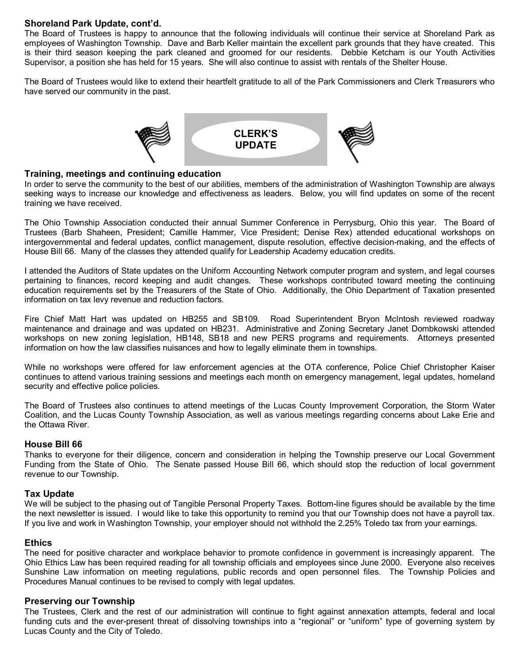# **Shoreland Park Update, cont'd.**

is their third season keeping the park cleaned and groomed for our residents. Debbie Ketcham is our Youth Activities The Board of Trustees is happy to announce that the following individuals will continue their service at Shoreland Park as employees of Washington Township. Dave and Barb Keller maintain the excellent park grounds that they have created. This Supervisor, a position she has held for 15 years. She will also continue to assist with rentals of the Shelter House.

The Board of Trustees would like to extend their heartfelt gratitude to all of the Park Commissioners and Clerk Treasurers who have served our community in the past.



#### **Training, meetings and continuing education**

In order to serve the community to the best of our abilities, members of the administration of Washington Township are always seeking ways to increase our knowledge and effectiveness as leaders. Below, you will find updates on some of the recent training we have received.

The Ohio Township Association conducted their annual Summer Conference in Perrysburg, Ohio this year. The Board of Trustees (Barb Shaheen, President; Camille Hammer, Vice President; Denise Rex) attended educational workshops on intergovernmental and federal updates, conflict management, dispute resolution, effective decision-making, and the effects of House Bill 66. Many of the classes they attended qualify for Leadership Academy education credits.

I attended the Auditors of State updates on the Uniform Accounting Network computer program and system, and legal courses pertaining to finances, record keeping and audit changes. These workshops contributed toward meeting the continuing education requirements set by the Treasurers of the State of Ohio. Additionally, the Ohio Department of Taxation presented information on tax levy revenue and reduction factors.

Fire Chief Matt Hart was updated on HB255 and SB109. Road Superintendent Bryon McIntosh reviewed roadway maintenance and drainage and was updated on HB231. Administrative and Zoning Secretary Janet Dombkowski attended workshops on new zoning legislation, HB148, SB18 and new PERS programs and requirements. Attorneys presented information on how the law classifies nuisances and how to legally eliminate them in townships.

While no workshops were offered for law enforcement agencies at the OTA conference, Police Chief Christopher Kaiser continues to attend various training sessions and meetings each month on emergency management, legal updates, homeland security and effective police policies.

The Board of Trustees also continues to attend meetings of the Lucas County Improvement Corporation, the Storm Water Coalition, and the Lucas County Township Association, as well as various meetings regarding concerns about Lake Erie and the Ottawa River.

#### **House Bill 66**

Thanks to everyone for their diligence, concern and consideration in helping the Township preserve our Local Government Funding from the State of Ohio. The Senate passed House Bill 66, which should stop the reduction of local government revenue to our Township.

# **Tax Update**

We will be subject to the phasing out of Tangible Personal Property Taxes. Bottom-line figures should be available by the time the next newsletter is issued. I would like to take this opportunity to remind you that our Township does not have a payroll tax. If you live and work in Washington Township, your employer should not withhold the 2.25% Toledo tax from your earnings.

#### **Ethics**

The need for positive character and workplace behavior to promote confidence in government is increasingly apparent. The Ohio Ethics Law has been required reading for all township officials and employees since June 2000. Everyone also receives Sunshine Law information on meeting regulations, public records and open personnel files. The Township Policies and Procedures Manual continues to be revised to comply with legal updates.

# **Preserving our Township**

The Trustees, Clerk and the rest of our administration will continue to fight against annexation attempts, federal and local funding cuts and the ever-present threat of dissolving townships into a "regional" or "uniform" type of governing system by Lucas County and the City of Toledo.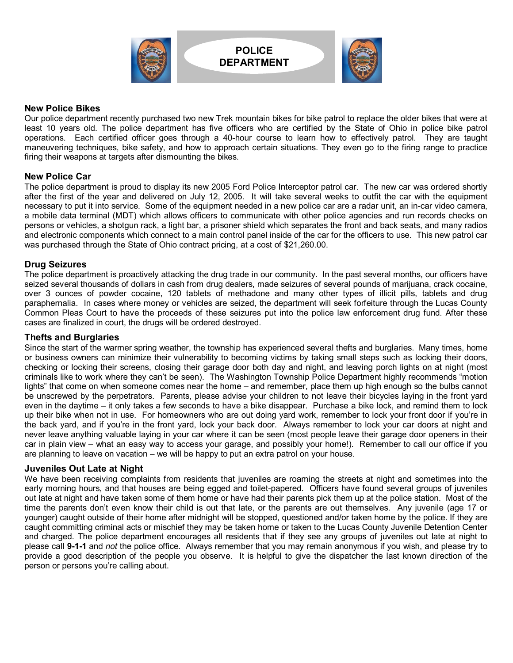

# **POLICE DEPARTMENT**



# **New Police Bikes**

Our police department recently purchased two new Trek mountain bikes for bike patrol to replace the older bikes that were at least 10 years old. The police department has five officers who are certified by the State of Ohio in police bike patrol operations. Each certified officer goes through a 40-hour course to learn how to effectively patrol. They are taught maneuvering techniques, bike safety, and how to approach certain situations. They even go to the firing range to practice firing their weapons at targets after dismounting the bikes.

# **New Police Car**

The police department is proud to display its new 2005 Ford Police Interceptor patrol car. The new car was ordered shortly after the first of the year and delivered on July 12, 2005. It will take several weeks to outfit the car with the equipment necessary to put it into service. Some of the equipment needed in a new police car are a radar unit, an in-car video camera, a mobile data terminal (MDT) which allows officers to communicate with other police agencies and run records checks on persons or vehicles, a shotgun rack, a light bar, a prisoner shield which separates the front and back seats, and many radios and electronic components which connect to a main control panel inside of the car for the officers to use. This new patrol car was purchased through the State of Ohio contract pricing, at a cost of \$21,260.00.

# **Drug Seizures**

The police department is proactively attacking the drug trade in our community. In the past several months, our officers have seized several thousands of dollars in cash from drug dealers, made seizures of several pounds of marijuana, crack cocaine, over 3 ounces of powder cocaine, 120 tablets of methadone and many other types of illicit pills, tablets and drug paraphernalia. In cases where money or vehicles are seized, the department will seek forfeiture through the Lucas County Common Pleas Court to have the proceeds of these seizures put into the police law enforcement drug fund. After these cases are finalized in court, the drugs will be ordered destroyed.

# **Thefts and Burglaries**

Since the start of the warmer spring weather, the township has experienced several thefts and burglaries. Many times, home or business owners can minimize their vulnerability to becoming victims by taking small steps such as locking their doors, checking or locking their screens, closing their garage door both day and night, and leaving porch lights on at night (most criminals like to work where they can't be seen). The Washington Township Police Department highly recommends "motion lights" that come on when someone comes near the home – and remember, place them up high enough so the bulbs cannot be unscrewed by the perpetrators. Parents, please advise your children to not leave their bicycles laying in the front yard even in the daytime – it only takes a few seconds to have a bike disappear. Purchase a bike lock, and remind them to lock up their bike when not in use. For homeowners who are out doing yard work, remember to lock your front door if youíre in the back yard, and if youíre in the front yard, lock your back door. Always remember to lock your car doors at night and never leave anything valuable laying in your car where it can be seen (most people leave their garage door openers in their car in plain view – what an easy way to access your garage, and possibly your home!). Remember to call our office if you are planning to leave on vacation  $-$  we will be happy to put an extra patrol on your house.

# **Juveniles Out Late at Night**

We have been receiving complaints from residents that juveniles are roaming the streets at night and sometimes into the early morning hours, and that houses are being egged and toilet-papered. Officers have found several groups of juveniles out late at night and have taken some of them home or have had their parents pick them up at the police station. Most of the time the parents donít even know their child is out that late, or the parents are out themselves. Any juvenile (age 17 or younger) caught outside of their home after midnight will be stopped, questioned and/or taken home by the police. If they are caught committing criminal acts or mischief they may be taken home or taken to the Lucas County Juvenile Detention Center and charged. The police department encourages all residents that if they see any groups of juveniles out late at night to please call **9-1-1** and *not* the police office.Always remember that you may remain anonymous if you wish, and please try to provide a good description of the people you observe. It is helpful to give the dispatcher the last known direction of the person or persons you're calling about.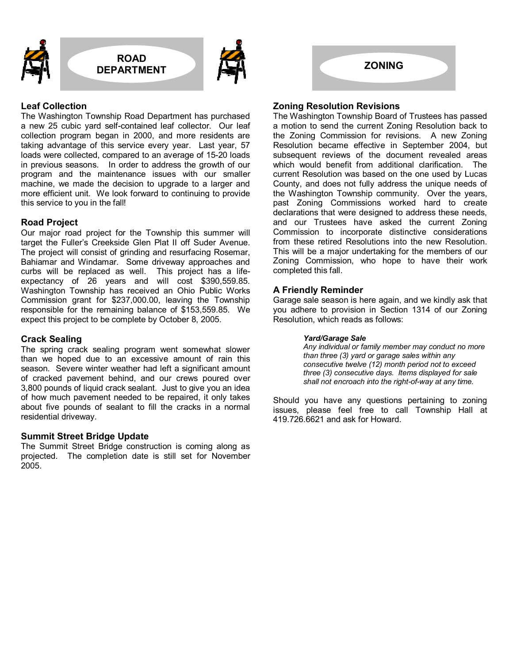



# **Leaf Collection**

The Washington Township Road Department has purchased a new 25 cubic yard self-contained leaf collector. Our leaf collection program began in 2000, and more residents are taking advantage of this service every year. Last year, 57 loads were collected, compared to an average of 15-20 loads in previous seasons. In order to address the growth of our program and the maintenance issues with our smaller machine, we made the decision to upgrade to a larger and more efficient unit. We look forward to continuing to provide this service to you in the fall!

# **Road Project**

Our major road project for the Township this summer will target the Fullerís Creekside Glen Plat II off Suder Avenue. The project will consist of grinding and resurfacing Rosemar, Bahiamar and Windamar. Some driveway approaches and curbs will be replaced as well. This project has a lifeexpectancy of 26 years and will cost \$390,559.85. Washington Township has received an Ohio Public Works Commission grant for \$237,000.00, leaving the Township responsible for the remaining balance of \$153,559.85. We expect this project to be complete by October 8, 2005.

# **Crack Sealing**

The spring crack sealing program went somewhat slower than we hoped due to an excessive amount of rain this season. Severe winter weather had left a significant amount of cracked pavement behind, and our crews poured over 3,800 pounds of liquid crack sealant. Just to give you an idea of how much pavement needed to be repaired, it only takes about five pounds of sealant to fill the cracks in a normal residential driveway.

# **Summit Street Bridge Update**

The Summit Street Bridge construction is coming along as projected. The completion date is still set for November 2005.

# **Zoning Resolution Revisions**

The Washington Township Board of Trustees has passed a motion to send the current Zoning Resolution back to the Zoning Commission for revisions. A new Zoning Resolution became effective in September 2004, but subsequent reviews of the document revealed areas which would benefit from additional clarification. The current Resolution was based on the one used by Lucas County, and does not fully address the unique needs of the Washington Township community. Over the years, past Zoning Commissions worked hard to create declarations that were designed to address these needs, and our Trustees have asked the current Zoning Commission to incorporate distinctive considerations from these retired Resolutions into the new Resolution. This will be a major undertaking for the members of our Zoning Commission, who hope to have their work completed this fall.

# **A Friendly Reminder**

Garage sale season is here again, and we kindly ask that you adhere to provision in Section 1314 of our Zoning Resolution, which reads as follows:

#### *Yard/Garage Sale*

 *Any individual or family member may conduct no more than three (3) yard or garage sales within any consecutive twelve (12) month period not to exceed three (3) consecutive days. Items displayed for sale shall not encroach into the right-of-way at any time.* 

Should you have any questions pertaining to zoning issues, please feel free to call Township Hall at 419.726.6621 and ask for Howard.